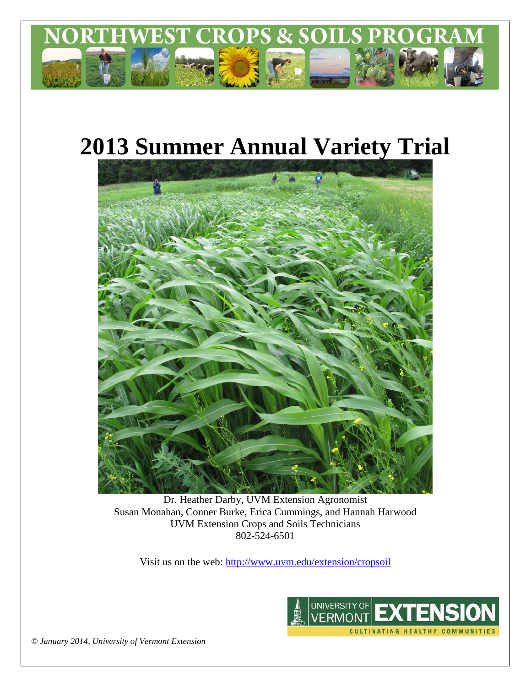

# **2013 Summer Annual Variety Trial**



Dr. Heather Darby, UVM Extension Agronomist Susan Monahan, Conner Burke, Erica Cummings, and Hannah Harwood UVM Extension Crops and Soils Technicians 802-524-6501

Visit us on the web: <http://www.uvm.edu/extension/cropsoil>



*© January 2014, University of Vermont Extension*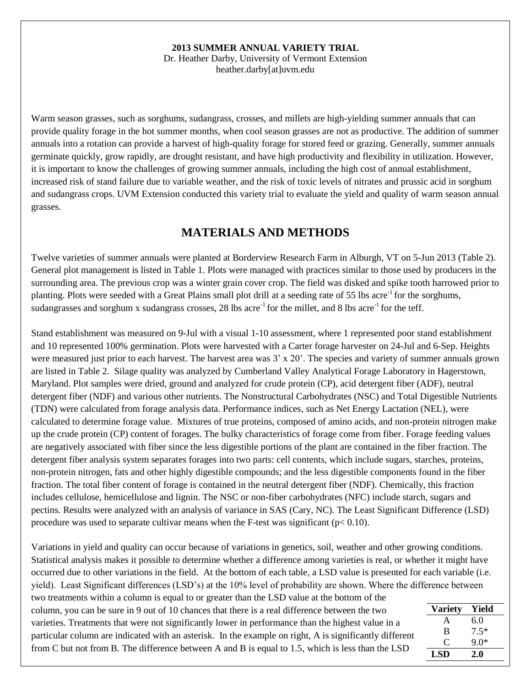## **2013 SUMMER ANNUAL VARIETY TRIAL**

Dr. Heather Darby, University of Vermont Extension heather.darby[at]uvm.edu

Warm season grasses, such as sorghums, sudangrass, crosses, and millets are high-yielding summer annuals that can provide quality forage in the hot summer months, when cool season grasses are not as productive. The addition of summer annuals into a rotation can provide a harvest of high-quality forage for stored feed or grazing. Generally, summer annuals germinate quickly, grow rapidly, are drought resistant, and have high productivity and flexibility in utilization. However, it is important to know the challenges of growing summer annuals, including the high cost of annual establishment, increased risk of stand failure due to variable weather, and the risk of toxic levels of nitrates and prussic acid in sorghum and sudangrass crops. UVM Extension conducted this variety trial to evaluate the yield and quality of warm season annual grasses.

## **MATERIALS AND METHODS**

Twelve varieties of summer annuals were planted at Borderview Research Farm in Alburgh, VT on 5-Jun 2013 (Table 2). General plot management is listed in Table 1. Plots were managed with practices similar to those used by producers in the surrounding area. The previous crop was a winter grain cover crop. The field was disked and spike tooth harrowed prior to planting. Plots were seeded with a Great Plains small plot drill at a seeding rate of 55 lbs acre<sup>-1</sup> for the sorghums, sudangrasses and sorghum x sudangrass crosses, 28 lbs acre<sup>-1</sup> for the millet, and 8 lbs acre<sup>-1</sup> for the teff.

Stand establishment was measured on 9-Jul with a visual 1-10 assessment, where 1 represented poor stand establishment and 10 represented 100% germination. Plots were harvested with a Carter forage harvester on 24-Jul and 6-Sep. Heights were measured just prior to each harvest. The harvest area was  $3' \times 20'$ . The species and variety of summer annuals grown are listed in Table 2. Silage quality was analyzed by Cumberland Valley Analytical Forage Laboratory in Hagerstown, Maryland. Plot samples were dried, ground and analyzed for crude protein (CP), acid detergent fiber (ADF), neutral detergent fiber (NDF) and various other nutrients. The Nonstructural Carbohydrates (NSC) and Total Digestible Nutrients (TDN) were calculated from forage analysis data. Performance indices, such as Net Energy Lactation (NEL), were calculated to determine forage value. Mixtures of true proteins, composed of amino acids, and non-protein nitrogen make up the crude protein (CP) content of forages. The bulky characteristics of forage come from fiber. Forage feeding values are negatively associated with fiber since the less digestible portions of the plant are contained in the fiber fraction. The detergent fiber analysis system separates forages into two parts: cell contents, which include sugars, starches, proteins, non-protein nitrogen, fats and other highly digestible compounds; and the less digestible components found in the fiber fraction. The total fiber content of forage is contained in the neutral detergent fiber (NDF). Chemically, this fraction includes cellulose, hemicellulose and lignin. The NSC or non-fiber carbohydrates (NFC) include starch, sugars and pectins. Results were analyzed with an analysis of variance in SAS (Cary, NC). The Least Significant Difference (LSD) procedure was used to separate cultivar means when the F-test was significant ( $p < 0.10$ ).

Variations in yield and quality can occur because of variations in genetics, soil, weather and other growing conditions. Statistical analysis makes it possible to determine whether a difference among varieties is real, or whether it might have occurred due to other variations in the field. At the bottom of each table, a LSD value is presented for each variable (i.e. yield). Least Significant differences (LSD's) at the 10% level of probability are shown. Where the difference between two treatments within a column is equal to or greater than the LSD value at the bottom of the

column, you can be sure in 9 out of 10 chances that there is a real difference between the two varieties. Treatments that were not significantly lower in performance than the highest value in a particular column are indicated with an asterisk. In the example on right, A is significantly different from C but not from B. The difference between A and B is equal to 1.5, which is less than the LSD

| <b>Variety</b> | Yield  |
|----------------|--------|
| A              | 6.0    |
| B              | $7.5*$ |
| €              | $9.0*$ |
| LSD            | 2.0    |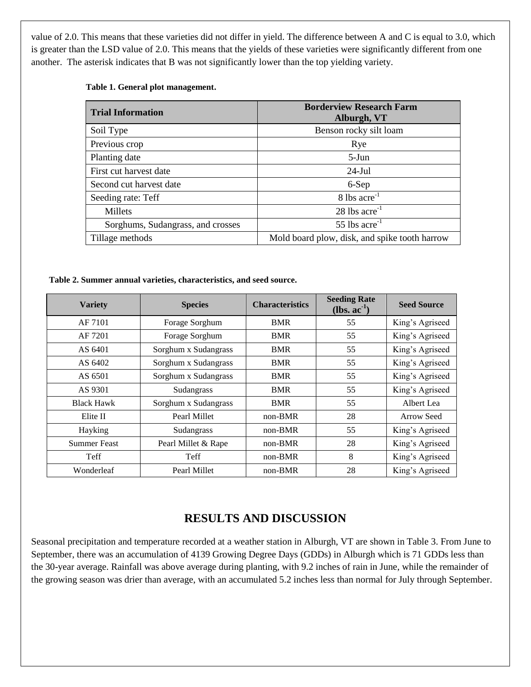value of 2.0. This means that these varieties did not differ in yield. The difference between A and C is equal to 3.0, which is greater than the LSD value of 2.0. This means that the yields of these varieties were significantly different from one another. The asterisk indicates that B was not significantly lower than the top yielding variety.

#### **Table 1. General plot management.**

| <b>Trial Information</b>          | <b>Borderview Research Farm</b><br>Alburgh, VT |
|-----------------------------------|------------------------------------------------|
| Soil Type                         | Benson rocky silt loam                         |
| Previous crop                     | Rye                                            |
| Planting date                     | $5-J$ un                                       |
| First cut harvest date            | $24$ -Jul                                      |
| Second cut harvest date           | 6-Sep                                          |
| Seeding rate: Teff                | $8$ lbs acre <sup>-1</sup>                     |
| Millets                           | $28$ lbs acre <sup>-1</sup>                    |
| Sorghums, Sudangrass, and crosses | 55 lbs $\arccos 5$                             |
| Tillage methods                   | Mold board plow, disk, and spike tooth harrow  |

## **Table 2. Summer annual varieties, characteristics, and seed source.**

| <b>Variety</b>      | <b>Species</b>       | <b>Characteristics</b> | <b>Seeding Rate</b><br>$(lbs. ac-1)$ | <b>Seed Source</b> |
|---------------------|----------------------|------------------------|--------------------------------------|--------------------|
| AF 7101             | Forage Sorghum       | <b>BMR</b>             | 55                                   | King's Agriseed    |
| AF 7201             | Forage Sorghum       | <b>BMR</b>             | 55                                   | King's Agriseed    |
| AS 6401             | Sorghum x Sudangrass | <b>BMR</b>             | 55                                   | King's Agriseed    |
| AS 6402             | Sorghum x Sudangrass | BMR                    | 55                                   | King's Agriseed    |
| AS 6501             | Sorghum x Sudangrass | BMR                    | 55                                   | King's Agriseed    |
| AS 9301             | Sudangrass           | <b>BMR</b>             | 55                                   | King's Agriseed    |
| <b>Black Hawk</b>   | Sorghum x Sudangrass | <b>BMR</b>             | 55                                   | Albert Lea         |
| Elite II            | Pearl Millet         | $non-BMR$              | 28                                   | Arrow Seed         |
| Hayking             | Sudangrass           | $non-BMR$              | 55                                   | King's Agriseed    |
| <b>Summer Feast</b> | Pearl Millet & Rape  | $non-BMR$              | 28                                   | King's Agriseed    |
| Teff                | Teff                 | non-BMR                | 8                                    | King's Agriseed    |
| Wonderleaf          | Pearl Millet         | non-BMR                | 28                                   | King's Agriseed    |

## **RESULTS AND DISCUSSION**

Seasonal precipitation and temperature recorded at a weather station in Alburgh, VT are shown in Table 3. From June to September, there was an accumulation of 4139 Growing Degree Days (GDDs) in Alburgh which is 71 GDDs less than the 30-year average. Rainfall was above average during planting, with 9.2 inches of rain in June, while the remainder of the growing season was drier than average, with an accumulated 5.2 inches less than normal for July through September.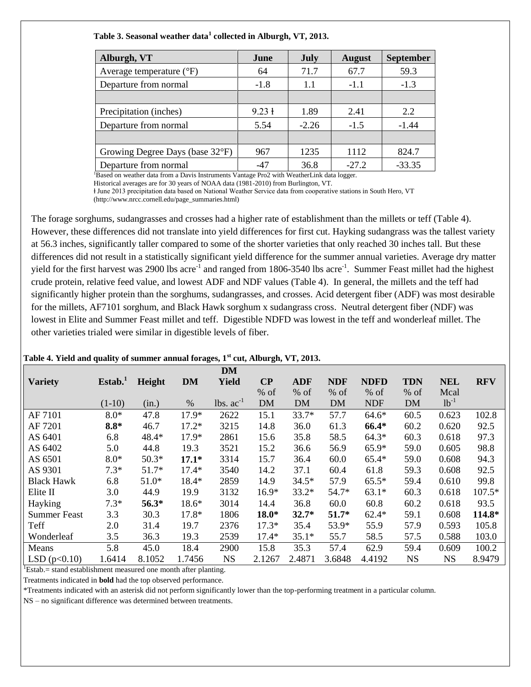### **Table 3. Seasonal weather data<sup>1</sup> collected in Alburgh, VT, 2013.**

| June              | <b>July</b> | <b>August</b> | <b>September</b> |
|-------------------|-------------|---------------|------------------|
| 64                | 71.7        | 67.7          | 59.3             |
| $-1.8$            | 1.1         | $-1.1$        | $-1.3$           |
|                   |             |               |                  |
| $9.23 \text{ }$ + | 1.89        | 2.41          | 2.2              |
| 5.54              | $-2.26$     | $-1.5$        | $-1.44$          |
|                   |             |               |                  |
| 967               | 1235        | 1112          | 824.7            |
| $-47$             | 36.8        | $-27.2$       | $-33.35$         |
|                   |             |               |                  |

Based on weather data from a Davis Instruments Vantage Pro2 with WeatherLink data logger.

Historical averages are for 30 years of NOAA data (1981-2010) from Burlington, VT. ⱡ June 2013 precipitation data based on National Weather Service data from cooperative stations in South Hero, VT

(http://www.nrcc.cornell.edu/page\_summaries.html)

The forage sorghums, sudangrasses and crosses had a higher rate of establishment than the millets or teff (Table 4). However, these differences did not translate into yield differences for first cut. Hayking sudangrass was the tallest variety at 56.3 inches, significantly taller compared to some of the shorter varieties that only reached 30 inches tall. But these differences did not result in a statistically significant yield difference for the summer annual varieties. Average dry matter yield for the first harvest was 2900 lbs acre<sup>-1</sup> and ranged from 1806-3540 lbs acre<sup>-1</sup>. Summer Feast millet had the highest crude protein, relative feed value, and lowest ADF and NDF values (Table 4). In general, the millets and the teff had significantly higher protein than the sorghums, sudangrasses, and crosses. Acid detergent fiber (ADF) was most desirable for the millets, AF7101 sorghum, and Black Hawk sorghum x sudangrass cross. Neutral detergent fiber (NDF) was lowest in Elite and Summer Feast millet and teff. Digestible NDFD was lowest in the teff and wonderleaf millet. The other varieties trialed were similar in digestible levels of fiber.

#### **Table 4. Yield and quality of summer annual forages, 1st cut, Alburgh, VT, 2013.**

|                   |                    |         |           | <b>DM</b>    |           |            |            |             |            |            |            |
|-------------------|--------------------|---------|-----------|--------------|-----------|------------|------------|-------------|------------|------------|------------|
| <b>Variety</b>    | Estab <sup>1</sup> | Height  | <b>DM</b> | <b>Yield</b> | $\bf CP$  | <b>ADF</b> | <b>NDF</b> | <b>NDFD</b> | <b>TDN</b> | <b>NEL</b> | <b>RFV</b> |
|                   |                    |         |           |              | % of      | $%$ of     | $%$ of     | $%$ of      | $%$ of     | Mcal       |            |
|                   | $(1-10)$           | (in.)   | %         | $lbs. ac-1$  | <b>DM</b> | <b>DM</b>  | <b>DM</b>  | <b>NDF</b>  | <b>DM</b>  | $1b^{-1}$  |            |
| AF 7101           | $8.0*$             | 47.8    | $17.9*$   | 2622         | 15.1      | $33.7*$    | 57.7       | $64.6*$     | 60.5       | 0.623      | 102.8      |
| AF 7201           | $8.8*$             | 46.7    | $17.2*$   | 3215         | 14.8      | 36.0       | 61.3       | 66.4*       | 60.2       | 0.620      | 92.5       |
| AS 6401           | 6.8                | 48.4*   | $17.9*$   | 2861         | 15.6      | 35.8       | 58.5       | $64.3*$     | 60.3       | 0.618      | 97.3       |
| AS 6402           | 5.0                | 44.8    | 19.3      | 3521         | 15.2      | 36.6       | 56.9       | $65.9*$     | 59.0       | 0.605      | 98.8       |
| AS 6501           | $8.0*$             | $50.3*$ | $17.1*$   | 3314         | 15.7      | 36.4       | 60.0       | $65.4*$     | 59.0       | 0.608      | 94.3       |
| AS 9301           | $7.3*$             | $51.7*$ | $17.4*$   | 3540         | 14.2      | 37.1       | 60.4       | 61.8        | 59.3       | 0.608      | 92.5       |
| <b>Black Hawk</b> | 6.8                | $51.0*$ | 18.4*     | 2859         | 14.9      | $34.5*$    | 57.9       | $65.5*$     | 59.4       | 0.610      | 99.8       |
| Elite II          | 3.0                | 44.9    | 19.9      | 3132         | $16.9*$   | $33.2*$    | 54.7*      | $63.1*$     | 60.3       | 0.618      | $107.5*$   |
| Hayking           | $7.3*$             | 56.3*   | 18.6*     | 3014         | 14.4      | 36.8       | 60.0       | 60.8        | 60.2       | 0.618      | 93.5       |
| Summer Feast      | 3.3                | 30.3    | 17.8*     | 1806         | $18.0*$   | $32.7*$    | $51.7*$    | $62.4*$     | 59.1       | 0.608      | 114.8*     |
| Teff              | 2.0                | 31.4    | 19.7      | 2376         | $17.3*$   | 35.4       | 53.9*      | 55.9        | 57.9       | 0.593      | 105.8      |
| Wonderleaf        | 3.5                | 36.3    | 19.3      | 2539         | $17.4*$   | $35.1*$    | 55.7       | 58.5        | 57.5       | 0.588      | 103.0      |
| Means             | 5.8                | 45.0    | 18.4      | 2900         | 15.8      | 35.3       | 57.4       | 62.9        | 59.4       | 0.609      | 100.2      |
| LSD $(p<0.10)$    | 1.6414             | 8.1052  | 1.7456    | <b>NS</b>    | 2.1267    | 2.4871     | 3.6848     | 4.4192      | <b>NS</b>  | <b>NS</b>  | 8.9479     |

 $\text{Estab} = \text{stand establishment measured one month after planning.}$ 

Treatments indicated in **bold** had the top observed performance.

\*Treatments indicated with an asterisk did not perform significantly lower than the top-performing treatment in a particular column.

NS – no significant difference was determined between treatments.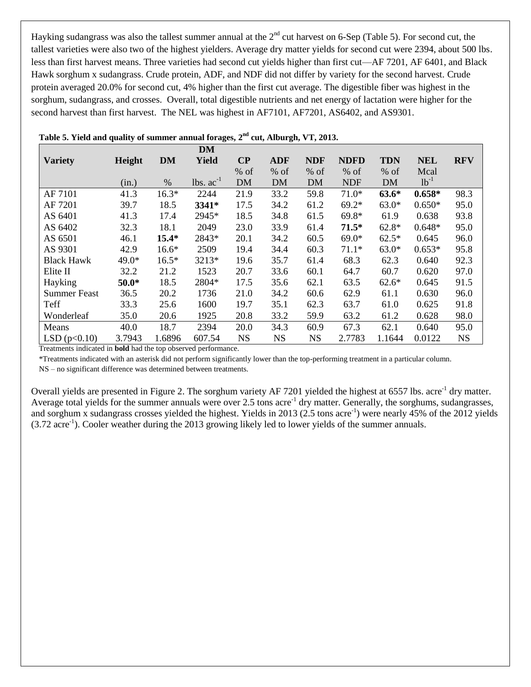Hayking sudangrass was also the tallest summer annual at the  $2^{nd}$  cut harvest on 6-Sep (Table 5). For second cut, the tallest varieties were also two of the highest yielders. Average dry matter yields for second cut were 2394, about 500 lbs. less than first harvest means. Three varieties had second cut yields higher than first cut—AF 7201, AF 6401, and Black Hawk sorghum x sudangrass. Crude protein, ADF, and NDF did not differ by variety for the second harvest. Crude protein averaged 20.0% for second cut, 4% higher than the first cut average. The digestible fiber was highest in the sorghum, sudangrass, and crosses. Overall, total digestible nutrients and net energy of lactation were higher for the second harvest than first harvest. The NEL was highest in AF7101, AF7201, AS6402, and AS9301.

|                     |         |           | <b>DM</b>    |           |            |            |             |            |            |            |
|---------------------|---------|-----------|--------------|-----------|------------|------------|-------------|------------|------------|------------|
| <b>Variety</b>      | Height  | <b>DM</b> | <b>Yield</b> | $\bf CP$  | <b>ADF</b> | <b>NDF</b> | <b>NDFD</b> | <b>TDN</b> | <b>NEL</b> | <b>RFV</b> |
|                     |         |           |              | $%$ of    | $%$ of     | $%$ of     | $%$ of      | $%$ of     | Mcal       |            |
|                     | (in.)   | %         | $lbs. ac-1$  | <b>DM</b> | <b>DM</b>  | <b>DM</b>  | <b>NDF</b>  | <b>DM</b>  | $1b^{-1}$  |            |
| AF 7101             | 41.3    | $16.3*$   | 2244         | 21.9      | 33.2       | 59.8       | $71.0*$     | $63.6*$    | $0.658*$   | 98.3       |
| AF 7201             | 39.7    | 18.5      | 3341*        | 17.5      | 34.2       | 61.2       | $69.2*$     | $63.0*$    | $0.650*$   | 95.0       |
| AS 6401             | 41.3    | 17.4      | 2945*        | 18.5      | 34.8       | 61.5       | 69.8*       | 61.9       | 0.638      | 93.8       |
| AS 6402             | 32.3    | 18.1      | 2049         | 23.0      | 33.9       | 61.4       | $71.5*$     | $62.8*$    | $0.648*$   | 95.0       |
| AS 6501             | 46.1    | $15.4*$   | 2843*        | 20.1      | 34.2       | 60.5       | $69.0*$     | $62.5*$    | 0.645      | 96.0       |
| AS 9301             | 42.9    | $16.6*$   | 2509         | 19.4      | 34.4       | 60.3       | $71.1*$     | $63.0*$    | $0.653*$   | 95.8       |
| <b>Black Hawk</b>   | 49.0*   | $16.5*$   | 3213*        | 19.6      | 35.7       | 61.4       | 68.3        | 62.3       | 0.640      | 92.3       |
| Elite II            | 32.2    | 21.2      | 1523         | 20.7      | 33.6       | 60.1       | 64.7        | 60.7       | 0.620      | 97.0       |
| Hayking             | $50.0*$ | 18.5      | 2804*        | 17.5      | 35.6       | 62.1       | 63.5        | $62.6*$    | 0.645      | 91.5       |
| <b>Summer Feast</b> | 36.5    | 20.2      | 1736         | 21.0      | 34.2       | 60.6       | 62.9        | 61.1       | 0.630      | 96.0       |
| Teff                | 33.3    | 25.6      | 1600         | 19.7      | 35.1       | 62.3       | 63.7        | 61.0       | 0.625      | 91.8       |
| Wonderleaf          | 35.0    | 20.6      | 1925         | 20.8      | 33.2       | 59.9       | 63.2        | 61.2       | 0.628      | 98.0       |
| Means               | 40.0    | 18.7      | 2394         | 20.0      | 34.3       | 60.9       | 67.3        | 62.1       | 0.640      | 95.0       |
| LSD $(p<0.10)$      | 3.7943  | 1.6896    | 607.54       | <b>NS</b> | <b>NS</b>  | <b>NS</b>  | 2.7783      | 1.1644     | 0.0122     | <b>NS</b>  |

|  |  | Table 5. Yield and quality of summer annual forages, $2^{nd}$ cut, Alburgh, VT, 2013. |  |  |  |
|--|--|---------------------------------------------------------------------------------------|--|--|--|
|--|--|---------------------------------------------------------------------------------------|--|--|--|

Treatments indicated in **bold** had the top observed performance.

\*Treatments indicated with an asterisk did not perform significantly lower than the top-performing treatment in a particular column.

NS – no significant difference was determined between treatments.

Overall yields are presented in Figure 2. The sorghum variety AF 7201 yielded the highest at 6557 lbs. acre<sup>-1</sup> dry matter. Average total yields for the summer annuals were over 2.5 tons acre<sup>-1</sup> dry matter. Generally, the sorghums, sudangrasses, and sorghum x sudangrass crosses yielded the highest. Yields in 2013 (2.5 tons acre<sup>-1</sup>) were nearly 45% of the 2012 yields  $(3.72 \text{ acre}^{-1})$ . Cooler weather during the 2013 growing likely led to lower yields of the summer annuals.